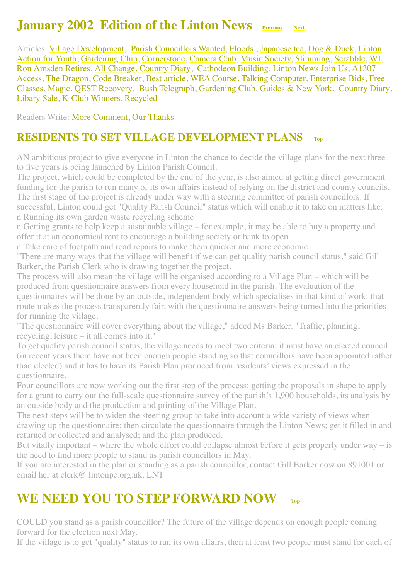## **January 2002 Edition of the Linton News [Previous](http://www.linton.info/lintonnews/0112.html) [Next](http://www.linton.info/lintonnews/0202.html)**

<span id="page-0-2"></span>[Articles Village Development, Parish Councillors Wanted, Floods](#page-3-0), [Japanese tea,](#page-1-1) [Dog & Duck,](#page-2-0) Linton Action for Youth, [Gardening Club,](#page-3-1) [Cornerstone,](#page-3-2) [Camera Club](#page-3-3), [Music Society,](#page-4-0) [Slimming](#page-4-1), [Scrabble](#page-4-2), [WI](#page-4-3), [Ron Amsden Retires, All Change, Country Diary, Cathodeon Building, Linton News Join Us, A1307](#page-8-1) Access, [The Dragon,](#page-9-0) [Code Breaker,](#page-9-1) [Best article,](#page-10-0) [WEA Course,](#page-10-1) [Talking Computer](#page-10-2), [Enterprise Bids,](#page-11-0) Free Classes, [Magic,](#page-11-2) [QEST Recovery](#page-11-3), [Bush Telegraph, Gardening Club, Guides & New York, Country Dia](#page-11-1)[ry](#page-12-2), [Libary Sale,](#page-13-0) [K-Club Winners,](#page-13-1) [Recycled](#page-13-2)

Readers Write: [More Comment,](http://www.linton.info/lintonnews/0201.html#We%20should%20have%20more%20comment%20%E2%80%93%20not%20less) [Our Thanks](#page-7-1)

#### <span id="page-0-0"></span>**RESIDENTS TO SET VILLAGE DEVELOPMENT PLANS [Top](#page-0-2)**

AN ambitious project to give everyone in Linton the chance to decide the village plans for the next three to five years is being launched by Linton Parish Council.

The project, which could be completed by the end of the year, is also aimed at getting direct government funding for the parish to run many of its own affairs instead of relying on the district and county councils. The first stage of the project is already under way with a steering committee of parish councillors. If successful, Linton could get "Quality Parish Council" status which will enable it to take on matters like: n Running its own garden waste recycling scheme

n Getting grants to help keep a sustainable village – for example, it may be able to buy a property and offer it at an economical rent to encourage a building society or bank to open

n Take care of footpath and road repairs to make them quicker and more economic

"There are many ways that the village will benefit if we can get quality parish council status," said Gill Barker, the Parish Clerk who is drawing together the project.

The process will also mean the village will be organised according to a Village Plan – which will be produced from questionnaire answers from every household in the parish. The evaluation of the questionnaires will be done by an outside, independent body which specialises in that kind of work: that route makes the process transparently fair, with the questionnaire answers being turned into the priorities for running the village.

"The questionnaire will cover everything about the village," added Ms Barker. "Traffic, planning, recycling, leisure – it all comes into it."

To get quality parish council status, the village needs to meet two criteria: it must have an elected council (in recent years there have not been enough people standing so that councillors have been appointed rather than elected) and it has to have its Parish Plan produced from residents' views expressed in the questionnaire.

Four councillors are now working out the first step of the process: getting the proposals in shape to apply for a grant to carry out the full-scale questionnaire survey of the parish's 1,900 households, its analysis by an outside body and the production and printing of the Village Plan.

The next steps will be to widen the steering group to take into account a wide variety of views when drawing up the questionnaire; then circulate the questionnaire through the Linton News; get it filled in and returned or collected and analysed; and the plan produced.

But vitally important – where the whole effort could collapse almost before it gets properly under way – is the need to find more people to stand as parish councillors in May.

If you are interested in the plan or standing as a parish councillor, contact Gill Barker now on 891001 or email her at clerk@ lintonpc.org.uk. LNT

## <span id="page-0-1"></span>**WE NEED YOU TO STEP FORWARD NOW [Top](#page-0-2)**

COULD you stand as a parish councillor? The future of the village depends on enough people coming forward for the election next May.

If the village is to get "quality" status to run its own affairs, then at least two people must stand for each of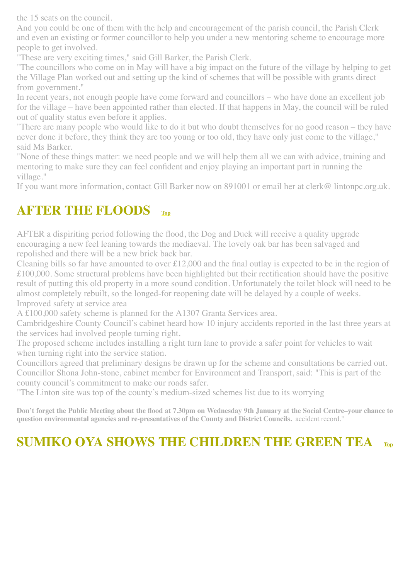the 15 seats on the council.

And you could be one of them with the help and encouragement of the parish council, the Parish Clerk and even an existing or former councillor to help you under a new mentoring scheme to encourage more people to get involved.

"These are very exciting times," said Gill Barker, the Parish Clerk.

"The councillors who come on in May will have a big impact on the future of the village by helping to get the Village Plan worked out and setting up the kind of schemes that will be possible with grants direct from government."

In recent years, not enough people have come forward and councillors – who have done an excellent job for the village – have been appointed rather than elected. If that happens in May, the council will be ruled out of quality status even before it applies.

"There are many people who would like to do it but who doubt themselves for no good reason – they have never done it before, they think they are too young or too old, they have only just come to the village," said Ms Barker.

"None of these things matter: we need people and we will help them all we can with advice, training and mentoring to make sure they can feel confident and enjoy playing an important part in running the village."

If you want more information, contact Gill Barker now on 891001 or email her at clerk@ lintonpc.org.uk.

#### <span id="page-1-0"></span>**AFTER THE FLOODS [Top](#page-0-2)**

AFTER a dispiriting period following the flood, the Dog and Duck will receive a quality upgrade encouraging a new feel leaning towards the mediaeval. The lovely oak bar has been salvaged and repolished and there will be a new brick back bar.

Cleaning bills so far have amounted to over £12,000 and the final outlay is expected to be in the region of £100,000. Some structural problems have been highlighted but their rectification should have the positive result of putting this old property in a more sound condition. Unfortunately the toilet block will need to be almost completely rebuilt, so the longed-for reopening date will be delayed by a couple of weeks. Improved safety at service area

A £100,000 safety scheme is planned for the A1307 Granta Services area.

Cambridgeshire County Council's cabinet heard how 10 injury accidents reported in the last three years at the services had involved people turning right.

The proposed scheme includes installing a right turn lane to provide a safer point for vehicles to wait when turning right into the service station.

Councillors agreed that preliminary designs be drawn up for the scheme and consultations be carried out. Councillor Shona John-stone, cabinet member for Environment and Transport, said: "This is part of the county council's commitment to make our roads safer.

"The Linton site was top of the county's medium-sized schemes list due to its worrying

**Don't forget the Public Meeting about the flood at 7.30pm on Wednesday 9th January at the Social Centre–your chance to question environmental agencies and re-presentatives of the County and District Councils.** accident record."

## <span id="page-1-1"></span>**SUMIKO OYA SHOWS THE CHILDREN THE GREEN TEA [Top](#page-0-2)**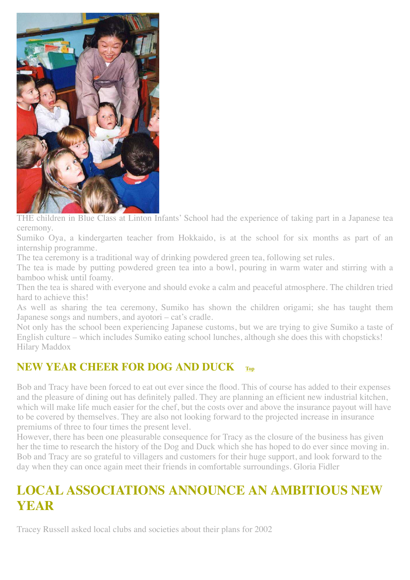

THE children in Blue Class at Linton Infants' School had the experience of taking part in a Japanese tea ceremony.

Sumiko Oya, a kindergarten teacher from Hokkaido, is at the school for six months as part of an internship programme.

The tea ceremony is a traditional way of drinking powdered green tea, following set rules.

The tea is made by putting powdered green tea into a bowl, pouring in warm water and stirring with a bamboo whisk until foamy.

Then the tea is shared with everyone and should evoke a calm and peaceful atmosphere. The children tried hard to achieve this!

As well as sharing the tea ceremony, Sumiko has shown the children origami; she has taught them Japanese songs and numbers, and ayotori – cat's cradle.

Not only has the school been experiencing Japanese customs, but we are trying to give Sumiko a taste of English culture – which includes Sumiko eating school lunches, although she does this with chopsticks! Hilary Maddox

#### <span id="page-2-0"></span>**NEW YEAR CHEER FOR DOG AND DUCK**

Bob and Tracy have been forced to eat out ever since the flood. This of course has added to their expenses and the pleasure of dining out has definitely palled. They are planning an efficient new industrial kitchen, which will make life much easier for the chef, but the costs over and above the insurance payout will have to be covered by themselves. They are also not looking forward to the projected increase in insurance premiums of three to four times the present level.

However, there has been one pleasurable consequence for Tracy as the closure of the business has given her the time to research the history of the Dog and Duck which she has hoped to do ever since moving in. Bob and Tracy are so grateful to villagers and customers for their huge support, and look forward to the day when they can once again meet their friends in comfortable surroundings. Gloria Fidler

## **LOCAL ASSOCIATIONS ANNOUNCE AN AMBITIOUS NEW YEAR**

Tracey Russell asked local clubs and societies about their plans for 2002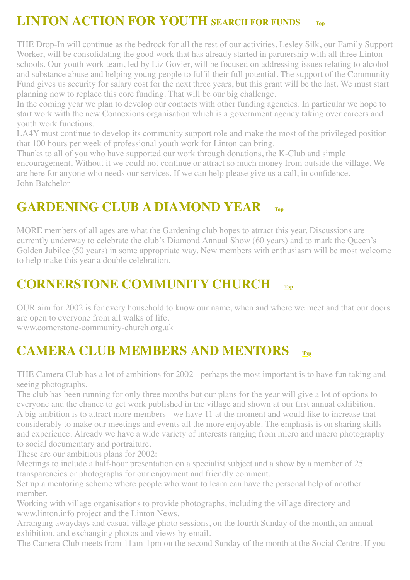# <span id="page-3-0"></span>**LINTON ACTION FOR YOUTH SEARCH FOR FUNDS [Top](#page-0-2)**

THE Drop-In will continue as the bedrock for all the rest of our activities. Lesley Silk, our Family Support Worker, will be consolidating the good work that has already started in partnership with all three Linton schools. Our youth work team, led by Liz Govier, will be focused on addressing issues relating to alcohol and substance abuse and helping young people to fulfil their full potential. The support of the Community Fund gives us security for salary cost for the next three years, but this grant will be the last. We must start planning now to replace this core funding. That will be our big challenge.

In the coming year we plan to develop our contacts with other funding agencies. In particular we hope to start work with the new Connexions organisation which is a government agency taking over careers and youth work functions.

LA4Y must continue to develop its community support role and make the most of the privileged position that 100 hours per week of professional youth work for Linton can bring.

Thanks to all of you who have supported our work through donations, the K-Club and simple encouragement. Without it we could not continue or attract so much money from outside the village. We are here for anyone who needs our services. If we can help please give us a call, in confidence. John Batchelor

## <span id="page-3-1"></span>GARDENING CLUB A DIAMOND YEAR [Top](#page-0-2)

MORE members of all ages are what the Gardening club hopes to attract this year. Discussions are currently underway to celebrate the club's Diamond Annual Show (60 years) and to mark the Queen's Golden Jubilee (50 years) in some appropriate way. New members with enthusiasm will be most welcome to help make this year a double celebration.

## <span id="page-3-2"></span>**CORNERSTONE COMMUNITY CHURCH [Top](#page-0-2)**

OUR aim for 2002 is for every household to know our name, when and where we meet and that our doors are open to everyone from all walks of life. www.cornerstone-community-church.org.uk

## <span id="page-3-3"></span>**CAMERA CLUB MEMBERS AND MENTORS [Top](#page-0-2)**

THE Camera Club has a lot of ambitions for 2002 - perhaps the most important is to have fun taking and seeing photographs.

The club has been running for only three months but our plans for the year will give a lot of options to everyone and the chance to get work published in the village and shown at our first annual exhibition. A big ambition is to attract more members - we have 11 at the moment and would like to increase that considerably to make our meetings and events all the more enjoyable. The emphasis is on sharing skills and experience. Already we have a wide variety of interests ranging from micro and macro photography to social documentary and portraiture.

These are our ambitious plans for 2002:

Meetings to include a half-hour presentation on a specialist subject and a show by a member of 25 transparencies or photographs for our enjoyment and friendly comment.

Set up a mentoring scheme where people who want to learn can have the personal help of another member.

Working with village organisations to provide photographs, including the village directory and www.linton.info project and the Linton News.

Arranging awaydays and casual village photo sessions, on the fourth Sunday of the month, an annual exhibition, and exchanging photos and views by email.

The Camera Club meets from 11am-1pm on the second Sunday of the month at the Social Centre. If you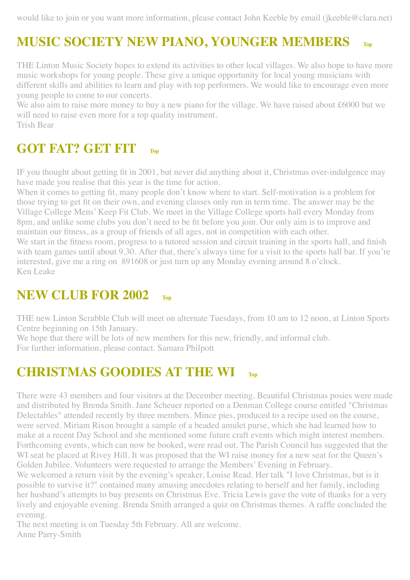would like to join or you want more information, please contact John Keeble by email (jkeeble@clara.net)

# <span id="page-4-0"></span>**MUSIC SOCIETY NEW PIANO, YOUNGER MEMBERS [Top](#page-0-2)**

THE Linton Music Society hopes to extend its activities to other local villages. We also hope to have more music workshops for young people. These give a unique opportunity for local young musicians with different skills and abilities to learn and play with top performers. We would like to encourage even more young people to come to our concerts.

We also aim to raise more money to buy a new piano for the village. We have raised about £6000 but we will need to raise even more for a top quality instrument. Trish Bear

## <span id="page-4-1"></span>**GOT FAT? GET FIT [Top](#page-0-2)**

IF you thought about getting fit in 2001, but never did anything about it, Christmas over-indulgence may have made you realise that this year is the time for action.

When it comes to getting fit, many people don't know where to start. Self-motivation is a problem for those trying to get fit on their own, and evening classes only run in term time. The answer may be the Village College Mens' Keep Fit Club. We meet in the Village College sports hall every Monday from 8pm, and unlike some clubs you don't need to be fit before you join. Our only aim is to improve and maintain our fitness, as a group of friends of all ages, not in competition with each other.

We start in the fitness room, progress to a tutored session and circuit training in the sports hall, and finish with team games until about 9.30. After that, there's always time for a visit to the sports hall bar. If you're interested, give me a ring on 891608 or just turn up any Monday evening around 8 o'clock. Ken Leake

## <span id="page-4-2"></span>**NEW CLUB FOR 2002 [Top](#page-0-2)**

THE new Linton Scrabble Club will meet on alternate Tuesdays, from 10 am to 12 noon, at Linton Sports Centre beginning on 15th January.

We hope that there will be lots of new members for this new, friendly, and informal club. For further information, please contact. Samara Philpott

## <span id="page-4-3"></span>**CHRISTMAS GOODIES AT THE WI [Top](#page-0-2)**

There were 43 members and four visitors at the December meeting. Beautiful Christmas posies were made and distributed by Brenda Smith. Jane Scheuer reported on a Denman College course entitled "Christmas Delectables" attended recently by three members. Mince pies, produced to a recipe used on the course, were served. Miriam Rixon brought a sample of a beaded amulet purse, which she had learned how to make at a recent Day School and she mentioned some future craft events which might interest members. Forthcoming events, which can now be booked, were read out. The Parish Council has suggested that the WI seat be placed at Rivey Hill. It was proposed that the WI raise money for a new seat for the Queen's Golden Jubilee. Volunteers were requested to arrange the Members' Evening in February.

We welcomed a return visit by the evening's speaker, Louise Read. Her talk "I love Christmas, but is it possible to survive it?" contained many amusing anecdotes relating to herself and her family, including her husband's attempts to buy presents on Christmas Eve. Tricia Lewis gave the vote of thanks for a very lively and enjoyable evening. Brenda Smith arranged a quiz on Christmas themes. A raffle concluded the evening.

The next meeting is on Tuesday 5th February. All are welcome. Anne Parry-Smith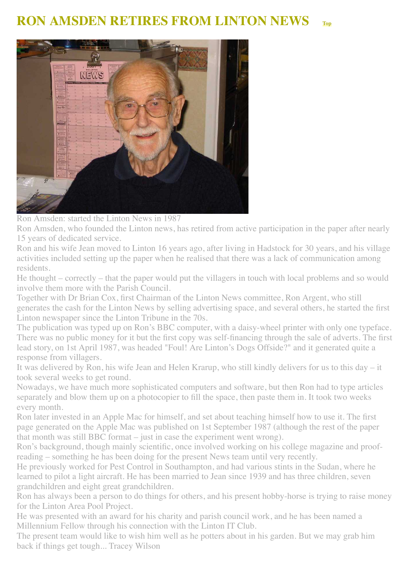## <span id="page-5-0"></span>**RON AMSDEN RETIRES FROM LINTON NEWS [Top](#page-0-2)**



Ron Amsden: started the Linton News in 1987

Ron Amsden, who founded the Linton news, has retired from active participation in the paper after nearly 15 years of dedicated service.

Ron and his wife Jean moved to Linton 16 years ago, after living in Hadstock for 30 years, and his village activities included setting up the paper when he realised that there was a lack of communication among residents.

He thought – correctly – that the paper would put the villagers in touch with local problems and so would involve them more with the Parish Council.

Together with Dr Brian Cox, first Chairman of the Linton News committee, Ron Argent, who still generates the cash for the Linton News by selling advertising space, and several others, he started the first Linton newspaper since the Linton Tribune in the 70s.

The publication was typed up on Ron's BBC computer, with a daisy-wheel printer with only one typeface. There was no public money for it but the first copy was self-financing through the sale of adverts. The first lead story, on 1st April 1987, was headed "Foul! Are Linton's Dogs Offside?" and it generated quite a response from villagers.

It was delivered by Ron, his wife Jean and Helen Krarup, who still kindly delivers for us to this day – it took several weeks to get round.

Nowadays, we have much more sophisticated computers and software, but then Ron had to type articles separately and blow them up on a photocopier to fill the space, then paste them in. It took two weeks every month.

Ron later invested in an Apple Mac for himself, and set about teaching himself how to use it. The first page generated on the Apple Mac was published on 1st September 1987 (although the rest of the paper that month was still BBC format – just in case the experiment went wrong).

Ron's background, though mainly scientific, once involved working on his college magazine and proofreading – something he has been doing for the present News team until very recently.

He previously worked for Pest Control in Southampton, and had various stints in the Sudan, where he learned to pilot a light aircraft. He has been married to Jean since 1939 and has three children, seven grandchildren and eight great grandchildren.

Ron has always been a person to do things for others, and his present hobby-horse is trying to raise money for the Linton Area Pool Project.

He was presented with an award for his charity and parish council work, and he has been named a Millennium Fellow through his connection with the Linton IT Club.

The present team would like to wish him well as he potters about in his garden. But we may grab him back if things get tough... Tracey Wilson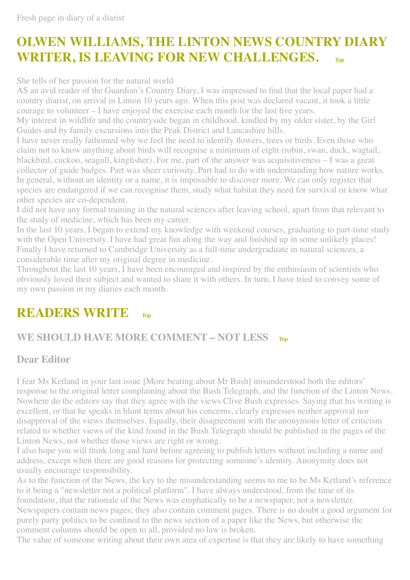# <span id="page-6-0"></span>**OLWEN WILLIAMS, THE LINTON NEWS COUNTRY DIARY WRITER, IS LEAVING FOR NEW CHALLENGES. [Top](#page-0-2)**

She tells of her passion for the natural world

AS an avid reader of the Guardian's Country Diary, I was impressed to find that the local paper had a country diarist, on arrival in Linton 10 years ago. When this post was declared vacant, it took a little courage to volunteer – I have enjoyed the exercise each month for the last five years.

My interest in wildlife and the countryside began in childhood, kindled by my older sister, by the Girl Guides and by family excursions into the Peak District and Lancashire hills.

I have never really fathomed why we feel the need to identify flowers, trees or birds. Even those who claim not to know anything about birds will recognise a minimum of eight (robin, swan, duck, wagtail, blackbird, cuckoo, seagull, kingfisher). For me, part of the answer was acquisitiveness – I was a great collector of guide badges. Part was sheer curiosity. Part had to do with understanding how nature works. In general, without an identity or a name, it is impossible to discover more. We can only register that species are endangered if we can recognise them, study what habitat they need for survival or know what other species are co-dependent.

I did not have any formal training in the natural sciences after leaving school, apart from that relevant to the study of medicine, which has been my career.

In the last 10 years, I began to extend my knowledge with weekend courses, graduating to part-time study with the Open University. I have had great fun along the way and finished up in some unlikely places! Finally I have returned to Cambridge University as a full-time undergraduate in natural sciences, a considerable time after my original degree in medicine.

Throughout the last 10 years, I have been encouraged and inspired by the enthusiasm of scientists who obviously loved their subject and wanted to share it with others. In turn, I have tried to convey some of my own passion in my diaries each month.

# **READERS WRITE [Top](#page-0-2)**

#### **WE SHOULD HAVE MORE COMMENT – NOT LESS [Top](#page-0-2)**

#### **Dear Editor**

I fear Ms Ketland in your last issue [More beating about Mr Bush] misunderstood both the editors' response to the original letter complaining about the Bush Telegraph, and the function of the Linton News. Nowhere do the editors say that they agree with the views Clive Bush expresses. Saying that his writing is excellent, or that he speaks in blunt terms about his concerns, clearly expresses neither approval nor disapproval of the views themselves. Equally, their disagreement with the anonymous letter of criticism related to whether views of the kind found in the Bush Telegraph should be published in the pages of the Linton News, not whether those views are right or wrong.

I also hope you will think long and hard before agreeing to publish letters without including a name and address, except when there are good reasons for protecting someone's identity. Anonymity does not usually encourage responsibility.

As to the function of the News, the key to the misunderstanding seems to me to be Ms Ketland's reference to it being a "newsletter not a political platform". I have always understood, from the time of its foundation, that the rationale of the News was emphatically to be a newspaper, not a newsletter. Newspapers contain news pages; they also contain comment pages. There is no doubt a good argument for purely party politics to be confined to the news section of a paper like the News, but otherwise the comment columns should be open to all, provided no law is broken.

The value of someone writing about their own area of expertise is that they are likely to have something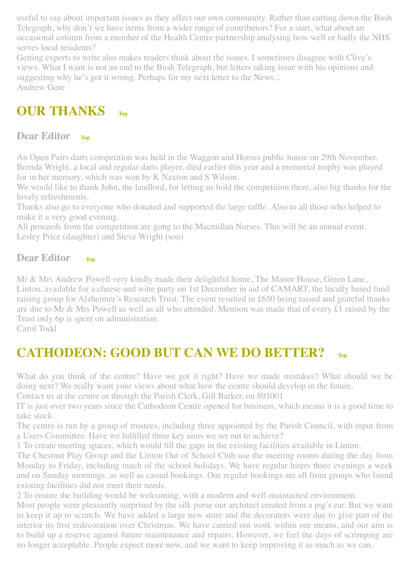useful to say about important issues as they affect our own community. Rather than cutting down the Bush Telegraph, why don't we have items from a wider range of contributors? For a start, what about an occasional column from a member of the Health Centre partnership analysing how well or badly the NHS serves local residents?

Getting experts to write also makes readers think about the issues. I sometimes disagree with Clive's views. What I want is not an end to the Bush Telegraph, but letters taking issue with his opinions and suggesting why he's got it wrong. Perhaps for my next letter to the News... Andrew Gore

## <span id="page-7-1"></span>**OUR THANKS [Top](#page-0-2)**

#### **Dear Editor [Top](#page-0-2)**

An Open Pairs darts competition was held in the Waggon and Horses public house on 29th November. Brenda Wright, a local and regular darts player, died earlier this year and a memorial trophy was played for in her memory, which was won by K Naxton and S Wilson.

We would like to thank John, the landlord, for letting us hold the competition there, also big thanks for the lovely refreshments.

Thanks also go to everyone who donated and supported the large raffle. Also to all those who helped to make it a very good evening.

All proceeds from the competition are gong to the Macmillan Nurses. This will be an annual event. Lesley Price (daughter) and Steve Wright (son)

#### **Dear Editor [Top](#page-0-2)**

Mr & Mrs Andrew Powell very kindly made their delightful home, The Manor House, Green Lane, Linton, available for a cheese and wine party on 1st December in aid of CAMART, the locally based fund raising group for Alzheimer's Research Trust. The event resulted in £650 being raised and grateful thanks are due to Mr & Mrs Powell as well as all who attended. Mention was made that of every £1 raised by the Trust only 6p is spent on administration.

Carol Todd

# <span id="page-7-0"></span>**CATHODEON: GOOD BUT CAN WE DO BETTER? [Top](#page-0-2)**

What do you think of the centre? Have we got it right? Have we made mistakes? What should we be doing next? We really want your views about what how the centre should develop in the future.

Contact us at the centre or through the Parish Clerk, Gill Barker, on 891001

IT is just over two years since the Cathodeon Centre opened for business, which means it is a good time to take stock.

The centre is run by a group of trustees, including three appointed by the Parish Council, with input from a Users Committee. Have we fulfilled three key aims we set out to achieve?

1 To create meeting spaces, which would fill the gaps in the existing facilities available in Linton.

The Chestnut Play Group and the Linton Out of School Club use the meeting rooms during the day from Monday to Friday, including much of the school holidays. We have regular hirers three evenings a week and on Sunday mornings, as well as casual bookings. Our regular bookings are all from groups who found existing facilities did not meet their needs.

2 To ensure the building would be welcoming, with a modern and well-maintained environment.

Most people were pleasantly surprised by the silk purse our architect created from a pig's ear. But we want to keep it up to scratch. We have added a large new store and the decorators were due to give part of the interior its first redecoration over Christmas. We have carried out work within our means, and our aim is to build up a reserve against future maintenance and repairs. However, we feel the days of scrimping are no longer acceptable. People expect more now, and we want to keep improving it as much as we can.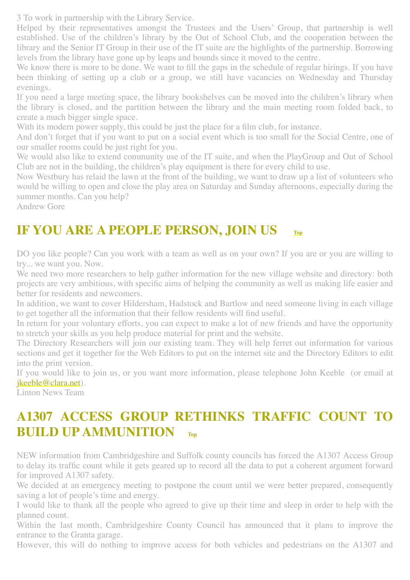3 To work in partnership with the Library Service.

Helped by their representatives amongst the Trustees and the Users' Group, that partnership is well established. Use of the children's library by the Out of School Club, and the cooperation between the library and the Senior IT Group in their use of the IT suite are the highlights of the partnership. Borrowing levels from the library have gone up by leaps and bounds since it moved to the centre.

We know there is more to be done. We want to fill the gaps in the schedule of regular hirings. If you have been thinking of setting up a club or a group, we still have vacancies on Wednesday and Thursday evenings.

If you need a large meeting space, the library bookshelves can be moved into the children's library when the library is closed, and the partition between the library and the main meeting room folded back, to create a much bigger single space.

With its modern power supply, this could be just the place for a film club, for instance.

And don't forget that if you want to put on a social event which is too small for the Social Centre, one of our smaller rooms could be just right for you.

We would also like to extend community use of the IT suite, and when the PlayGroup and Out of School Club are not in the building, the children's play equipment is there for every child to use.

Now Westbury has relaid the lawn at the front of the building, we want to draw up a list of volunteers who would be willing to open and close the play area on Saturday and Sunday afternoons, especially during the summer months. Can you help?

<span id="page-8-0"></span>Andrew Gore

## **IF YOU ARE A PEOPLE PERSON, JOIN US [Top](#page-0-2)**

DO you like people? Can you work with a team as well as on your own? If you are or you are willing to try... we want you. Now.

We need two more researchers to help gather information for the new village website and directory: both projects are very ambitious, with specific aims of helping the community as well as making life easier and better for residents and newcomers.

In addition, we want to cover Hildersham, Hadstock and Bartlow and need someone living in each village to get together all the information that their fellow residents will find useful.

In return for your voluntary efforts, you can expect to make a lot of new friends and have the opportunity to stretch your skills as you help produce material for print and the website.

The Directory Researchers will join our existing team. They will help ferret out information for various sections and get it together for the Web Editors to put on the internet site and the Directory Editors to edit into the print version.

If you would like to join us, or you want more information, please telephone John Keeble (or email at [jkeeble@clara.net\)](mailto:jkeeble@clara.net).

Linton News Team

## <span id="page-8-1"></span>**A1307 ACCESS GROUP RETHINKS TRAFFIC COUNT TO BUILD UP AMMUNITION**

NEW information from Cambridgeshire and Suffolk county councils has forced the A1307 Access Group to delay its traffic count while it gets geared up to record all the data to put a coherent argument forward for improved A1307 safety.

We decided at an emergency meeting to postpone the count until we were better prepared, consequently saving a lot of people's time and energy.

I would like to thank all the people who agreed to give up their time and sleep in order to help with the planned count.

Within the last month, Cambridgeshire County Council has announced that it plans to improve the entrance to the Granta garage.

However, this will do nothing to improve access for both vehicles and pedestrians on the A1307 and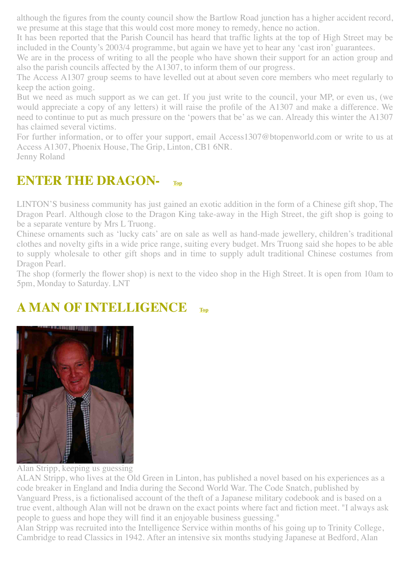although the figures from the county council show the Bartlow Road junction has a higher accident record, we presume at this stage that this would cost more money to remedy, hence no action.

It has been reported that the Parish Council has heard that traffic lights at the top of High Street may be included in the County's 2003/4 programme, but again we have yet to hear any 'cast iron' guarantees.

We are in the process of writing to all the people who have shown their support for an action group and also the parish councils affected by the A1307, to inform them of our progress.

The Access A1307 group seems to have levelled out at about seven core members who meet regularly to keep the action going.

But we need as much support as we can get. If you just write to the council, your MP, or even us, (we would appreciate a copy of any letters) it will raise the profile of the A1307 and make a difference. We need to continue to put as much pressure on the 'powers that be' as we can. Already this winter the A1307 has claimed several victims.

For further information, or to offer your support, email Access1307@btopenworld.com or write to us at Access A1307, Phoenix House, The Grip, Linton, CB1 6NR. Jenny Roland

## <span id="page-9-0"></span>**ENTER THE DRAGON-**

LINTON'S business community has just gained an exotic addition in the form of a Chinese gift shop, The Dragon Pearl. Although close to the Dragon King take-away in the High Street, the gift shop is going to be a separate venture by Mrs L Truong.

Chinese ornaments such as 'lucky cats' are on sale as well as hand-made jewellery, children's traditional clothes and novelty gifts in a wide price range, suiting every budget. Mrs Truong said she hopes to be able to supply wholesale to other gift shops and in time to supply adult traditional Chinese costumes from Dragon Pearl.

The shop (formerly the flower shop) is next to the video shop in the High Street. It is open from 10am to 5pm, Monday to Saturday. LNT

## <span id="page-9-1"></span>**A MAN OF INTELLIGENCE [Top](#page-0-2)**



Alan Stripp, keeping us guessing

ALAN Stripp, who lives at the Old Green in Linton, has published a novel based on his experiences as a code breaker in England and India during the Second World War. The Code Snatch, published by Vanguard Press, is a fictionalised account of the theft of a Japanese military codebook and is based on a true event, although Alan will not be drawn on the exact points where fact and fiction meet. "I always ask people to guess and hope they will find it an enjoyable business guessing."

Alan Stripp was recruited into the Intelligence Service within months of his going up to Trinity College, Cambridge to read Classics in 1942. After an intensive six months studying Japanese at Bedford, Alan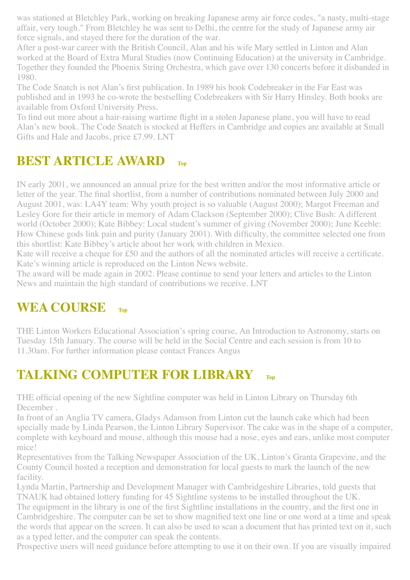was stationed at Bletchley Park, working on breaking Japanese army air force codes, "a nasty, multi-stage affair, very tough." From Bletchley he was sent to Delhi, the centre for the study of Japanese army air force signals, and stayed there for the duration of the war.

After a post-war career with the British Council, Alan and his wife Mary settled in Linton and Alan worked at the Board of Extra Mural Studies (now Continuing Education) at the university in Cambridge. Together they founded the Phoenix String Orchestra, which gave over 130 concerts before it disbanded in 1980.

The Code Snatch is not Alan's first publication. In 1989 his book Codebreaker in the Far East was published and in 1993 he co-wrote the bestselling Codebreakers with Sir Harry Hinsley. Both books are available from Oxford University Press.

To find out more about a hair-raising wartime flight in a stolen Japanese plane, you will have to read Alan's new book. The Code Snatch is stocked at Heffers in Cambridge and copies are available at Small Gifts and Hale and Jacobs, price £7.99. LNT

## <span id="page-10-0"></span>**BEST ARTICLE AWARD**

IN early 2001, we announced an annual prize for the best written and/or the most informative article or letter of the year. The final shortlist, from a number of contributions nominated between July 2000 and August 2001, was: LA4Y team: Why youth project is so valuable (August 2000); Margot Freeman and Lesley Gore for their article in memory of Adam Clackson (September 2000); Clive Bush: A different world (October 2000); Kate Bibbey: Local student's summer of giving (November 2000); June Keeble: How Chinese gods link pain and purity (January 2001). With difficulty, the committee selected one from this shortlist: Kate Bibbey's article about her work with children in Mexico.

Kate will receive a cheque for £50 and the authors of all the nominated articles will receive a certificate. Kate's winning article is reproduced on the Linton News website.

The award will be made again in 2002. Please continue to send your letters and articles to the Linton News and maintain the high standard of contributions we receive. LNT

## <span id="page-10-1"></span>**WEA COURSE [Top](#page-0-2)**

THE Linton Workers Educational Association's spring course, An Introduction to Astronomy, starts on Tuesday 15th January. The course will be held in the Social Centre and each session is from 10 to 11.30am. For further information please contact Frances Angus

## <span id="page-10-2"></span>**TALKING COMPUTER FOR LIBRARY [Top](#page-0-2)**

THE official opening of the new Sightline computer was held in Linton Library on Thursday 6th December .

In front of an Anglia TV camera, Gladys Adamson from Linton cut the launch cake which had been specially made by Linda Pearson, the Linton Library Supervisor. The cake was in the shape of a computer, complete with keyboard and mouse, although this mouse had a nose, eyes and ears, unlike most computer mice!

Representatives from the Talking Newspaper Association of the UK, Linton's Granta Grapevine, and the County Council hosted a reception and demonstration for local guests to mark the launch of the new facility.

Lynda Martin, Partnership and Development Manager with Cambridgeshire Libraries, told guests that TNAUK had obtained lottery funding for 45 Sightline systems to be installed throughout the UK.

The equipment in the library is one of the first Sightline installations in the country, and the first one in Cambridgeshire. The computer can be set to show magnified text one line or one word at a time and speak the words that appear on the screen. It can also be used to scan a document that has printed text on it, such as a typed letter, and the computer can speak the contents.

Prospective users will need guidance before attempting to use it on their own. If you are visually impaired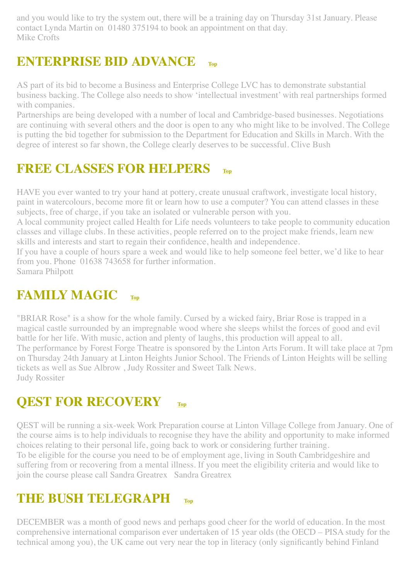and you would like to try the system out, there will be a training day on Thursday 31st January. Please contact Lynda Martin on 01480 375194 to book an appointment on that day. Mike Crofts

## <span id="page-11-0"></span>**ENTERPRISE BID ADVANCE [Top](#page-0-2)**

AS part of its bid to become a Business and Enterprise College LVC has to demonstrate substantial business backing. The College also needs to show 'intellectual investment' with real partnerships formed with companies.

Partnerships are being developed with a number of local and Cambridge-based businesses. Negotiations are continuing with several others and the door is open to any who might like to be involved. The College is putting the bid together for submission to the Department for Education and Skills in March. With the degree of interest so far shown, the College clearly deserves to be successful. Clive Bush

## <span id="page-11-1"></span>**FREE CLASSES FOR HELPERS [Top](#page-0-2)**

HAVE you ever wanted to try your hand at pottery, create unusual craftwork, investigate local history, paint in watercolours, become more fit or learn how to use a computer? You can attend classes in these subjects, free of charge, if you take an isolated or vulnerable person with you.

A local community project called Health for Life needs volunteers to take people to community education classes and village clubs. In these activities, people referred on to the project make friends, learn new skills and interests and start to regain their confidence, health and independence.

If you have a couple of hours spare a week and would like to help someone feel better, we'd like to hear from you. Phone 01638 743658 for further information.

Samara Philpott

## <span id="page-11-2"></span>**FAMILY MAGIC [Top](#page-0-2)**

"BRIAR Rose" is a show for the whole family. Cursed by a wicked fairy, Briar Rose is trapped in a magical castle surrounded by an impregnable wood where she sleeps whilst the forces of good and evil battle for her life. With music, action and plenty of laughs, this production will appeal to all. The performance by Forest Forge Theatre is sponsored by the Linton Arts Forum. It will take place at 7pm on Thursday 24th January at Linton Heights Junior School. The Friends of Linton Heights will be selling tickets as well as Sue Albrow , Judy Rossiter and Sweet Talk News. Judy Rossiter

## <span id="page-11-3"></span>**QEST FOR RECOVERY [Top](#page-0-2)**

QEST will be running a six-week Work Preparation course at Linton Village College from January. One of the course aims is to help individuals to recognise they have the ability and opportunity to make informed choices relating to their personal life, going back to work or considering further training. To be eligible for the course you need to be of employment age, living in South Cambridgeshire and suffering from or recovering from a mental illness. If you meet the eligibility criteria and would like to join the course please call Sandra Greatrex Sandra Greatrex

## <span id="page-11-4"></span>**THE BUSH TELEGRAPH [Top](#page-0-2)**

DECEMBER was a month of good news and perhaps good cheer for the world of education. In the most comprehensive international comparison ever undertaken of 15 year olds (the OECD – PISA study for the technical among you), the UK came out very near the top in literacy (only significantly behind Finland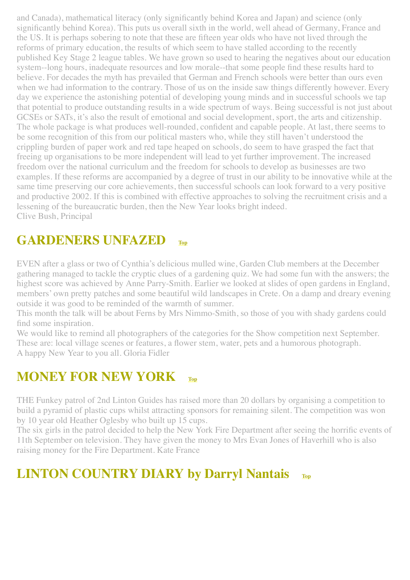and Canada), mathematical literacy (only significantly behind Korea and Japan) and science (only significantly behind Korea). This puts us overall sixth in the world, well ahead of Germany, France and the US. It is perhaps sobering to note that these are fifteen year olds who have not lived through the reforms of primary education, the results of which seem to have stalled according to the recently published Key Stage 2 league tables. We have grown so used to hearing the negatives about our education system--long hours, inadequate resources and low morale--that some people find these results hard to believe. For decades the myth has prevailed that German and French schools were better than ours even when we had information to the contrary. Those of us on the inside saw things differently however. Every day we experience the astonishing potential of developing young minds and in successful schools we tap that potential to produce outstanding results in a wide spectrum of ways. Being successful is not just about GCSEs or SATs, it's also the result of emotional and social development, sport, the arts and citizenship. The whole package is what produces well-rounded, confident and capable people. At last, there seems to be some recognition of this from our political masters who, while they still haven't understood the crippling burden of paper work and red tape heaped on schools, do seem to have grasped the fact that freeing up organisations to be more independent will lead to yet further improvement. The increased freedom over the national curriculum and the freedom for schools to develop as businesses are two examples. If these reforms are accompanied by a degree of trust in our ability to be innovative while at the same time preserving our core achievements, then successful schools can look forward to a very positive and productive 2002. If this is combined with effective approaches to solving the recruitment crisis and a lessening of the bureaucratic burden, then the New Year looks bright indeed. Clive Bush, Principal

## <span id="page-12-0"></span>**GARDENERS UNFAZED [Top](#page-0-2)**

EVEN after a glass or two of Cynthia's delicious mulled wine, Garden Club members at the December gathering managed to tackle the cryptic clues of a gardening quiz. We had some fun with the answers; the highest score was achieved by Anne Parry-Smith. Earlier we looked at slides of open gardens in England, members' own pretty patches and some beautiful wild landscapes in Crete. On a damp and dreary evening outside it was good to be reminded of the warmth of summer.

This month the talk will be about Ferns by Mrs Nimmo-Smith, so those of you with shady gardens could find some inspiration.

We would like to remind all photographers of the categories for the Show competition next September. These are: local village scenes or features, a flower stem, water, pets and a humorous photograph. A happy New Year to you all. Gloria Fidler

## <span id="page-12-1"></span>**MONEY FOR NEW YORK**

THE Funkey patrol of 2nd Linton Guides has raised more than 20 dollars by organising a competition to build a pyramid of plastic cups whilst attracting sponsors for remaining silent. The competition was won by 10 year old Heather Oglesby who built up 15 cups.

The six girls in the patrol decided to help the New York Fire Department after seeing the horrific events of 11th September on television. They have given the money to Mrs Evan Jones of Haverhill who is also raising money for the Fire Department. Kate France

## <span id="page-12-2"></span>**LINTON COUNTRY DIARY by Darryl Nantais [Top](#page-0-2)**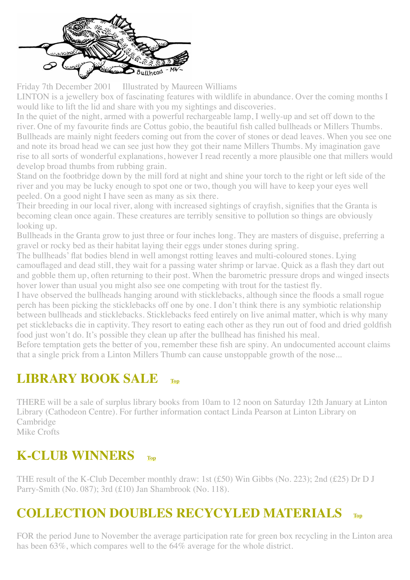

Friday 7th December 2001 Illustrated by Maureen Williams

LINTON is a jewellery box of fascinating features with wildlife in abundance. Over the coming months I would like to lift the lid and share with you my sightings and discoveries.

In the quiet of the night, armed with a powerful rechargeable lamp, I welly-up and set off down to the river. One of my favourite finds are Cottus gobio, the beautiful fish called bullheads or Millers Thumbs. Bullheads are mainly night feeders coming out from the cover of stones or dead leaves. When you see one and note its broad head we can see just how they got their name Millers Thumbs. My imagination gave rise to all sorts of wonderful explanations, however I read recently a more plausible one that millers would develop broad thumbs from rubbing grain.

Stand on the footbridge down by the mill ford at night and shine your torch to the right or left side of the river and you may be lucky enough to spot one or two, though you will have to keep your eyes well peeled. On a good night I have seen as many as six there.

Their breeding in our local river, along with increased sightings of crayfish, signifies that the Granta is becoming clean once again. These creatures are terribly sensitive to pollution so things are obviously looking up.

Bullheads in the Granta grow to just three or four inches long. They are masters of disguise, preferring a gravel or rocky bed as their habitat laying their eggs under stones during spring.

The bullheads' flat bodies blend in well amongst rotting leaves and multi-coloured stones. Lying camouflaged and dead still, they wait for a passing water shrimp or larvae. Quick as a flash they dart out and gobble them up, often returning to their post. When the barometric pressure drops and winged insects hover lower than usual you might also see one competing with trout for the tastiest fly.

I have observed the bullheads hanging around with sticklebacks, although since the floods a small rogue perch has been picking the sticklebacks off one by one. I don't think there is any symbiotic relationship between bullheads and sticklebacks. Sticklebacks feed entirely on live animal matter, which is why many pet sticklebacks die in captivity. They resort to eating each other as they run out of food and dried goldfish food just won't do. It's possible they clean up after the bullhead has finished his meal.

Before temptation gets the better of you, remember these fish are spiny. An undocumented account claims that a single prick from a Linton Millers Thumb can cause unstoppable growth of the nose...

## <span id="page-13-0"></span>**LIBRARY BOOK SALE [Top](#page-0-2)**

THERE will be a sale of surplus library books from 10am to 12 noon on Saturday 12th January at Linton Library (Cathodeon Centre). For further information contact Linda Pearson at Linton Library on **Cambridge** Mike Crofts

## <span id="page-13-1"></span>**K-CLUB WINNERS [Top](#page-0-2)**

THE result of the K-Club December monthly draw: 1st (£50) Win Gibbs (No. 223); 2nd (£25) Dr D J Parry-Smith (No. 087); 3rd (£10) Jan Shambrook (No. 118).

## <span id="page-13-2"></span>**COLLECTION DOUBLES RECYCYLED MATERIALS [Top](#page-0-2)**

FOR the period June to November the average participation rate for green box recycling in the Linton area has been 63%, which compares well to the 64% average for the whole district.